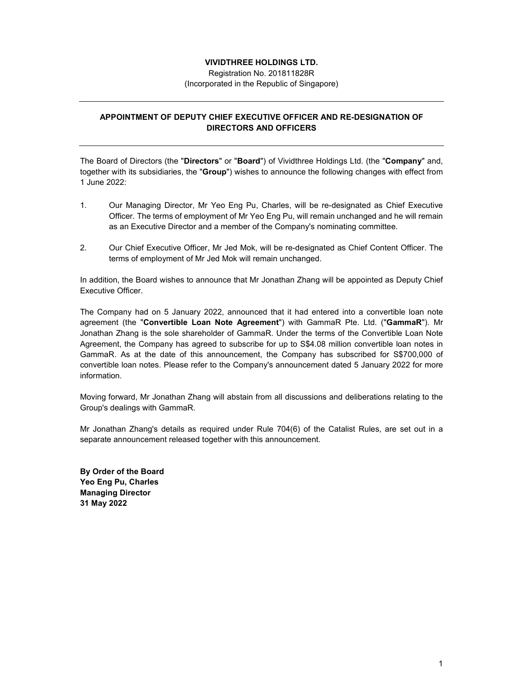## **VIVIDTHREE HOLDINGS LTD.**

Registration No. 201811828R (Incorporated in the Republic of Singapore)

## **APPOINTMENT OF DEPUTY CHIEF EXECUTIVE OFFICER AND RE-DESIGNATION OF DIRECTORS AND OFFICERS**

The Board of Directors (the "**Directors**" or "**Board**") of Vividthree Holdings Ltd. (the "**Company**" and, together with its subsidiaries, the "**Group**") wishes to announce the following changes with effect from 1 June 2022:

- 1. Our Managing Director, Mr Yeo Eng Pu, Charles, will be re-designated as Chief Executive Officer. The terms of employment of Mr Yeo Eng Pu, will remain unchanged and he will remain as an Executive Director and a member of the Company's nominating committee.
- 2. Our Chief Executive Officer, Mr Jed Mok, will be re-designated as Chief Content Officer. The terms of employment of Mr Jed Mok will remain unchanged.

In addition, the Board wishes to announce that Mr Jonathan Zhang will be appointed as Deputy Chief Executive Officer.

The Company had on 5 January 2022, announced that it had entered into a convertible loan note agreement (the "**Convertible Loan Note Agreement**") with GammaR Pte. Ltd. ("**GammaR**"). Mr Jonathan Zhang is the sole shareholder of GammaR. Under the terms of the Convertible Loan Note Agreement, the Company has agreed to subscribe for up to S\$4.08 million convertible loan notes in GammaR. As at the date of this announcement, the Company has subscribed for S\$700,000 of convertible loan notes. Please refer to the Company's announcement dated 5 January 2022 for more information.

Moving forward, Mr Jonathan Zhang will abstain from all discussions and deliberations relating to the Group's dealings with GammaR.

Mr Jonathan Zhang's details as required under Rule 704(6) of the Catalist Rules, are set out in a separate announcement released together with this announcement.

**By Order of the Board Yeo Eng Pu, Charles Managing Director 31 May 2022**